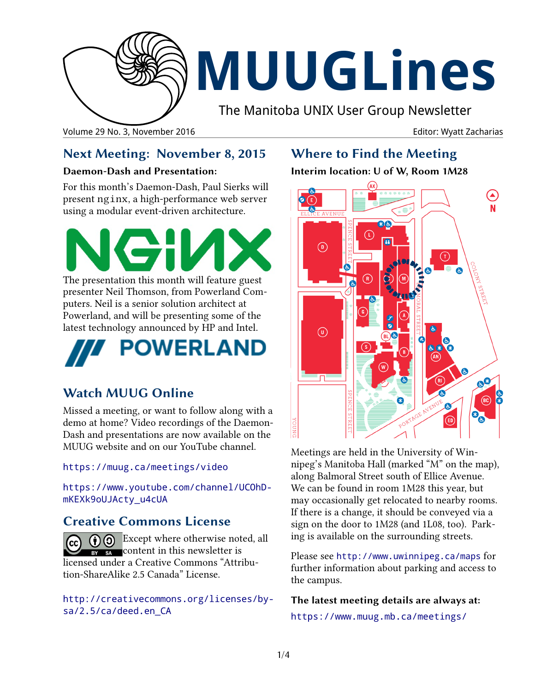

# **MUUGLines**

The Manitoba UNIX User Group Newsletter

Volume 29 No. 3, November 2016 **Editor: Wyatt Zacharias** Editor: Wyatt Zacharias

## **Next Meeting: November 8, 2015**

#### **Daemon-Dash and Presentation:**

For this month's Daemon-Dash, Paul Sierks will present nginx, a high-performance web server using a modular event-driven architecture.



The presentation this month will feature guest presenter Neil Thomson, from Powerland Computers. Neil is a senior solution architect at Powerland, and will be presenting some of the latest technology announced by HP and Intel.



## **Watch MUUG Online**

Missed a meeting, or want to follow along with a demo at home? Video recordings of the Daemon-Dash and presentations are now available on the MUUG website and on our YouTube channel.

#### <https://muug.ca/meetings/video>

[https://www.youtube.com/channel/UCOhD](https://www.youtube.com/channel/UCOhDmKEXk9oUJActy_u4cUA)[mKEXk9oUJActy\\_u4cUA](https://www.youtube.com/channel/UCOhDmKEXk9oUJActy_u4cUA)

## **Creative Commons License**

 $\bigcirc$  Except where otherwise noted, all  $\frac{1}{\sqrt{2}}$  content in this newsletter is licensed under a Creative Commons "Attribution-ShareAlike 2.5 Canada" License.

[http://creativecommons.org/licenses/by](http://creativecommons.org/licenses/by-sa/2.5/ca/deed.en_CA)[sa/2.5/ca/deed.en\\_CA](http://creativecommons.org/licenses/by-sa/2.5/ca/deed.en_CA)

## **Where to Find the Meeting**

#### **Interim location: U of W, Room 1M28**



Meetings are held in the University of Winnipeg's Manitoba Hall (marked "M" on the map), along Balmoral Street south of Ellice Avenue. We can be found in room 1M28 this year, but may occasionally get relocated to nearby rooms. If there is a change, it should be conveyed via a sign on the door to 1M28 (and 1L08, too). Parking is available on the surrounding streets.

Please see <http://www.uwinnipeg.ca/maps> for further information about parking and access to the campus.

**The latest meeting details are always at:**

https://www.muug.mb.ca/meetings/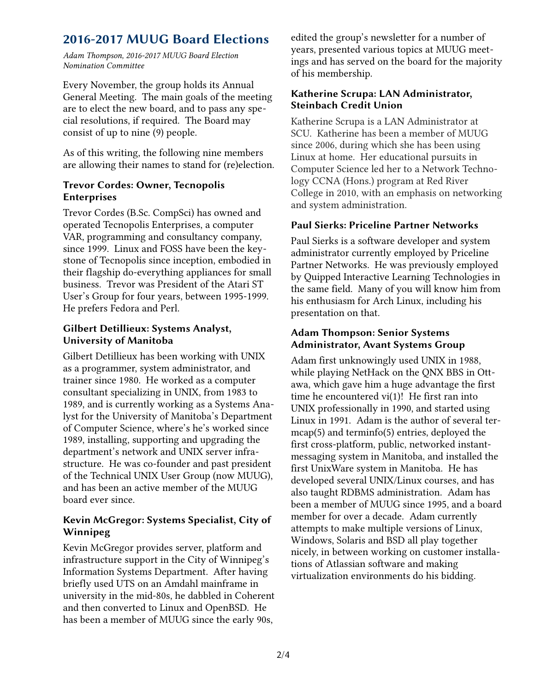## **2016-2017 MUUG Board Elections**

*Adam Thompson, 2016-2017 MUUG Board Election Nomination Committee*

Every November, the group holds its Annual General Meeting. The main goals of the meeting are to elect the new board, and to pass any special resolutions, if required. The Board may consist of up to nine (9) people.

As of this writing, the following nine members are allowing their names to stand for (re)election.

#### **Trevor Cordes: Owner, Tecnopolis Enterprises**

Trevor Cordes (B.Sc. CompSci) has owned and operated Tecnopolis Enterprises, a computer VAR, programming and consultancy company, since 1999. Linux and FOSS have been the keystone of Tecnopolis since inception, embodied in their flagship do-everything appliances for small business. Trevor was President of the Atari ST User's Group for four years, between 1995-1999. He prefers Fedora and Perl.

#### **Gilbert Detillieux: Systems Analyst, University of Manitoba**

Gilbert Detillieux has been working with UNIX as a programmer, system administrator, and trainer since 1980. He worked as a computer consultant specializing in UNIX, from 1983 to 1989, and is currently working as a Systems Analyst for the University of Manitoba's Department of Computer Science, where's he's worked since 1989, installing, supporting and upgrading the department's network and UNIX server infrastructure. He was co-founder and past president of the Technical UNIX User Group (now MUUG), and has been an active member of the MUUG board ever since.

#### **Kevin McGregor: Systems Specialist, City of Winnipeg**

Kevin McGregor provides server, platform and infrastructure support in the City of Winnipeg's Information Systems Department. After having briefly used UTS on an Amdahl mainframe in university in the mid-80s, he dabbled in Coherent and then converted to Linux and OpenBSD. He has been a member of MUUG since the early 90s,

edited the group's newsletter for a number of years, presented various topics at MUUG meetings and has served on the board for the majority of his membership.

#### **Katherine Scrupa: LAN Administrator, Steinbach Credit Union**

Katherine Scrupa is a LAN Administrator at SCU. Katherine has been a member of MUUG since 2006, during which she has been using Linux at home. Her educational pursuits in Computer Science led her to a Network Technology CCNA (Hons.) program at Red River College in 2010, with an emphasis on networking and system administration.

#### **Paul Sierks: Priceline Partner Networks**

Paul Sierks is a software developer and system administrator currently employed by Priceline Partner Networks. He was previously employed by Quipped Interactive Learning Technologies in the same field. Many of you will know him from his enthusiasm for Arch Linux, including his presentation on that.

#### **Adam Thompson: Senior Systems Administrator, Avant Systems Group**

Adam first unknowingly used UNIX in 1988, while playing NetHack on the QNX BBS in Ottawa, which gave him a huge advantage the first time he encountered vi(1)! He first ran into UNIX professionally in 1990, and started using Linux in 1991. Adam is the author of several termcap(5) and terminfo(5) entries, deployed the first cross-platform, public, networked instantmessaging system in Manitoba, and installed the first UnixWare system in Manitoba. He has developed several UNIX/Linux courses, and has also taught RDBMS administration. Adam has been a member of MUUG since 1995, and a board member for over a decade. Adam currently attempts to make multiple versions of Linux, Windows, Solaris and BSD all play together nicely, in between working on customer installations of Atlassian software and making virtualization environments do his bidding.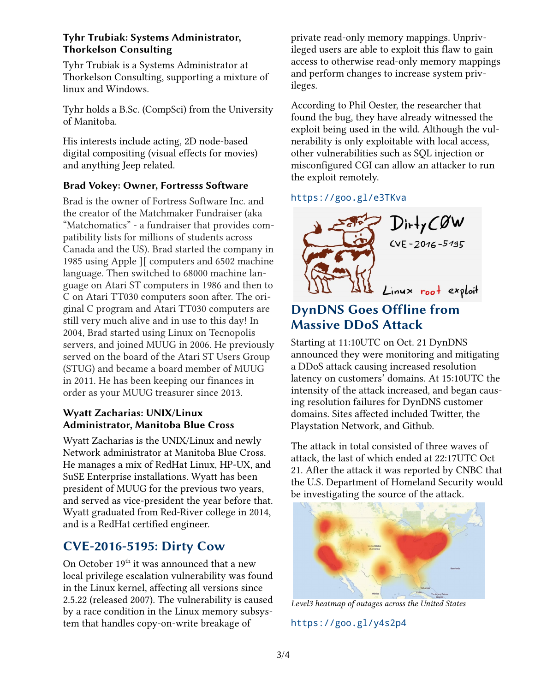#### **Tyhr Trubiak: Systems Administrator, Thorkelson Consulting**

Tyhr Trubiak is a Systems Administrator at Thorkelson Consulting, supporting a mixture of linux and Windows.

Tyhr holds a B.Sc. (CompSci) from the University of Manitoba.

His interests include acting, 2D node-based digital compositing (visual effects for movies) and anything Jeep related.

#### **Brad Vokey: Owner, Fortresss Software**

Brad is the owner of Fortress Software Inc. and the creator of the Matchmaker Fundraiser (aka "Matchomatics" - a fundraiser that provides compatibility lists for millions of students across Canada and the US). Brad started the company in 1985 using Apple ][ computers and 6502 machine language. Then switched to 68000 machine language on Atari ST computers in 1986 and then to C on Atari TT030 computers soon after. The original C program and Atari TT030 computers are still very much alive and in use to this day! In 2004, Brad started using Linux on Tecnopolis servers, and joined MUUG in 2006. He previously served on the board of the Atari ST Users Group (STUG) and became a board member of MUUG in 2011. He has been keeping our finances in order as your MUUG treasurer since 2013.

#### **Wyatt Zacharias: UNIX/Linux Administrator, Manitoba Blue Cross**

Wyatt Zacharias is the UNIX/Linux and newly Network administrator at Manitoba Blue Cross. He manages a mix of RedHat Linux, HP-UX, and SuSE Enterprise installations. Wyatt has been president of MUUG for the previous two years, and served as vice-president the year before that. Wyatt graduated from Red-River college in 2014, and is a RedHat certified engineer.

## **CVE-2016-5195: Dirty Cow**

On October  $19<sup>th</sup>$  it was announced that a new local privilege escalation vulnerability was found in the Linux kernel, affecting all versions since 2.5.22 (released 2007). The vulnerability is caused by a race condition in the Linux memory subsystem that handles copy-on-write breakage of

private read-only memory mappings. Unprivileged users are able to exploit this flaw to gain access to otherwise read-only memory mappings and perform changes to increase system privileges.

According to Phil Oester, the researcher that found the bug, they have already witnessed the exploit being used in the wild. Although the vulnerability is only exploitable with local access, other vulnerabilities such as SQL injection or misconfigured CGI can allow an attacker to run the exploit remotely.

#### https://goo.gl/e3TKva



## **DynDNS Goes Offline from Massive DDoS Attack**

Starting at 11:10UTC on Oct. 21 DynDNS announced they were monitoring and mitigating a DDoS attack causing increased resolution latency on customers' domains. At 15:10UTC the intensity of the attack increased, and began causing resolution failures for DynDNS customer domains. Sites affected included Twitter, the Playstation Network, and Github.

The attack in total consisted of three waves of attack, the last of which ended at 22:17UTC Oct 21. After the attack it was reported by CNBC that the U.S. Department of Homeland Security would be investigating the source of the attack.



*Level3 heatmap of outages across the United States*

#### https://goo.gl/y4s2p4